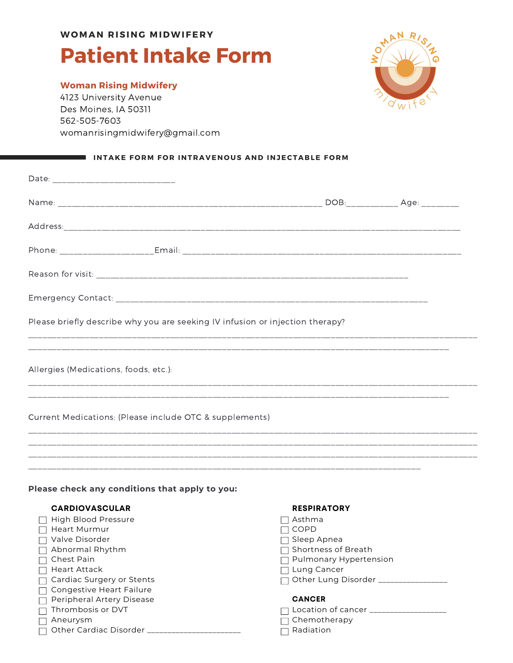# **Patient Intake Form WOMAN R ISING MIDWIFE R Y**

### **Woman Rising Midwifery**

4123 University Avenue Des Moines, IA 50311 562-505-7603 womanrisingmidwifery@gmail.com



#### **I** INTAKE FORM FOR INTRAVENOUS AND INJECTABLE FORM

| Please briefly describe why you are seeking IV infusion or injection therapy? |  |  |  |  |
|-------------------------------------------------------------------------------|--|--|--|--|
| Allergies (Medications, foods, etc.):                                         |  |  |  |  |
| Current Medications: (Please include OTC & supplements)                       |  |  |  |  |
|                                                                               |  |  |  |  |
|                                                                               |  |  |  |  |
| Please check any conditions that apply to you:                                |  |  |  |  |

#### **CARDIOVASCULAR**

| High Blood Pressure       |
|---------------------------|
| Heart Murmur              |
| Valve Disorder            |
| Abnormal Rhythm           |
| Chest Pain                |
| Heart Attack              |
| Cardiac Surgery or Stents |
| Congestive Heart Failure  |
| Peripheral Artery Disease |
| Thrombosis or DVT         |
| Aneurysm                  |
| Other Cardiac Disorder    |

#### **RESPIRATORY**

- $\Box$  Asthma
- $\Box$  COPD
- $\Box$  Sleep Apnea
- $\Box$  Shortness of Breath
- □ Pulmonary Hypertension
- □ Lung Cancer
- □ Other Lung Disorder \_\_\_\_\_\_\_\_\_\_\_\_\_\_\_

#### **CANCER**

- $\Box$  Location of cancer  $\Box$
- $\overline{\Box}$  Chemotherapy
- $\Box$  Radiation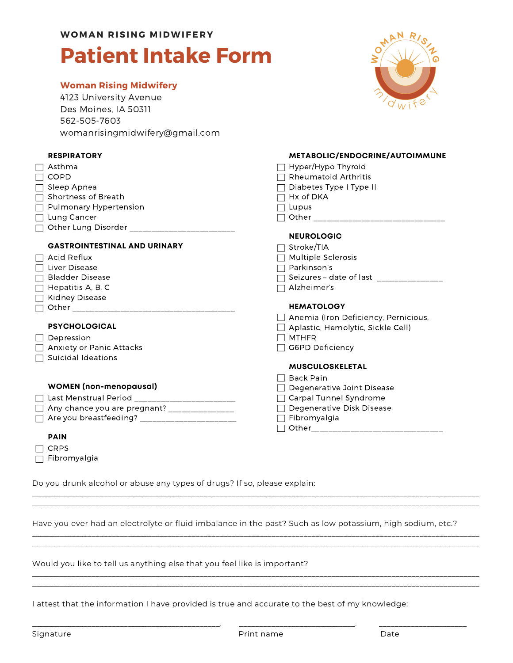# **Patient Intake Form**

#### **Woman Rising Midwifery**

4123 University Avenue Des Moines, IA 50311 562-505-7603 womanrisingmidwifery@gmail.com



**METABOLIC/ENDOCRINE/AUTOIMMUNE**

#### **RESPIRATORY**

| <b>KEJFIKAIUKI</b>                              | METABOLIC/ENDOCRINE/AUTOIMMUNE              |
|-------------------------------------------------|---------------------------------------------|
| Asthma                                          | Hyper/Hypo Thyroid                          |
| <b>COPD</b>                                     | $\Box$ Rheumatoid Arthritis                 |
| $\Box$ Sleep Apnea                              | $\Box$ Diabetes Type I Type II              |
| $\Box$ Shortness of Breath                      | $\Box$ Hx of DKA                            |
| $\Box$ Pulmonary Hypertension                   | $\Box$ Lupus                                |
| $\Box$ Lung Cancer                              |                                             |
| □ Other Lung Disorder _________________________ |                                             |
|                                                 | <b>NEUROLOGIC</b>                           |
| <b>GASTROINTESTINAL AND URINARY</b>             | Stroke/TIA                                  |
| $\Box$ Acid Reflux                              | $\Box$ Multiple Sclerosis                   |
| $\Box$ Liver Disease                            | $\Box$ Parkinson's                          |
| $\Box$ Bladder Disease                          | □ Seizures - date of last _________________ |
| $\Box$ Hepatitis A, B, C                        | $\Box$ Alzheimer's                          |
| □ Kidney Disease                                |                                             |
|                                                 | <b>HEMATOLOGY</b>                           |
|                                                 | $\Box$ Anemia (Iron Deficiency, Pernicious, |
| <b>PSYCHOLOGICAL</b>                            | $\Box$ Aplastic, Hemolytic, Sickle Cell)    |
| $\Box$ Depression                               | $\Box$ mthfr                                |
| $\Box$ Anxiety or Panic Attacks                 | G6PD Deficiency                             |
| $\Box$ Suicidal Ideations                       |                                             |
|                                                 | <b>MUSCULOSKELETAL</b>                      |
|                                                 | <b>Back Pain</b><br>$\vert \ \ \vert$       |
| <b>WOMEN</b> (non-menopausal)                   | Degenerative Joint Disease                  |
|                                                 | □ Carpal Tunnel Syndrome                    |
| Any chance you are pregnant? ________________   | □ Degenerative Disk Disease                 |
|                                                 | $\Box$ Fibromyalgia                         |
|                                                 |                                             |
| <b>PAIN</b>                                     |                                             |

Do you drunk alcohol or abuse any types of drugs? If so, please explain:

Have you ever had an electrolyte or fluid imbalance in the past? Such as low potassium, high sodium, etc.?

\_\_\_\_\_\_\_\_\_\_\_\_\_\_\_\_\_\_\_\_\_\_\_\_\_\_\_\_\_\_\_\_\_\_\_\_\_\_\_\_\_\_\_\_\_\_\_\_\_\_\_\_\_\_\_\_\_\_\_\_\_\_\_\_\_\_\_\_\_\_\_\_\_\_\_\_\_\_\_\_\_\_\_\_\_\_\_\_\_\_\_\_\_\_\_\_\_\_\_\_\_\_\_\_\_\_\_\_\_\_\_\_ \_\_\_\_\_\_\_\_\_\_\_\_\_\_\_\_\_\_\_\_\_\_\_\_\_\_\_\_\_\_\_\_\_\_\_\_\_\_\_\_\_\_\_\_\_\_\_\_\_\_\_\_\_\_\_\_\_\_\_\_\_\_\_\_\_\_\_\_\_\_\_\_\_\_\_\_\_\_\_\_\_\_\_\_\_\_\_\_\_\_\_\_\_\_\_\_\_\_\_\_\_\_\_\_\_\_\_\_\_\_\_\_

\_\_\_\_\_\_\_\_\_\_\_\_\_\_\_\_\_\_\_\_\_\_\_\_\_\_\_\_\_\_\_\_\_\_\_\_\_\_\_\_\_\_\_\_\_\_\_\_\_\_\_\_\_\_\_\_\_\_\_\_\_\_\_\_\_\_\_\_\_\_\_\_\_\_\_\_\_\_\_\_\_\_\_\_\_\_\_\_\_\_\_\_\_\_\_\_\_\_\_\_\_\_\_\_\_\_\_\_\_\_\_\_ \_\_\_\_\_\_\_\_\_\_\_\_\_\_\_\_\_\_\_\_\_\_\_\_\_\_\_\_\_\_\_\_\_\_\_\_\_\_\_\_\_\_\_\_\_\_\_\_\_\_\_\_\_\_\_\_\_\_\_\_\_\_\_\_\_\_\_\_\_\_\_\_\_\_\_\_\_\_\_\_\_\_\_\_\_\_\_\_\_\_\_\_\_\_\_\_\_\_\_\_\_\_\_\_\_\_\_\_\_\_\_\_

\_\_\_\_\_\_\_\_\_\_\_\_\_\_\_\_\_\_\_\_\_\_\_\_\_\_\_\_\_\_\_\_\_\_\_\_\_\_\_\_\_\_\_\_\_\_\_\_\_\_\_\_\_\_\_\_\_\_\_\_\_\_\_\_\_\_\_\_\_\_\_\_\_\_\_\_\_\_\_\_\_\_\_\_\_\_\_\_\_\_\_\_\_\_\_\_\_\_\_\_\_\_\_\_\_\_\_\_\_\_\_\_ \_\_\_\_\_\_\_\_\_\_\_\_\_\_\_\_\_\_\_\_\_\_\_\_\_\_\_\_\_\_\_\_\_\_\_\_\_\_\_\_\_\_\_\_\_\_\_\_\_\_\_\_\_\_\_\_\_\_\_\_\_\_\_\_\_\_\_\_\_\_\_\_\_\_\_\_\_\_\_\_\_\_\_\_\_\_\_\_\_\_\_\_\_\_\_\_\_\_\_\_\_\_\_\_\_\_\_\_\_\_\_\_

Would you like to tell us anything else that you feel like is important?

I attest that the information I have provided is true and accurate to the best of my knowledge:

 $\Box$  CRPS

 $\Box$  Fibromyalgia

\_\_\_\_\_\_\_\_\_\_\_\_\_\_\_\_\_\_\_\_\_\_\_\_\_\_\_\_\_\_\_\_\_\_\_\_\_\_\_\_\_\_\_\_\_\_\_. \_\_\_\_\_\_\_\_\_\_\_\_\_\_\_\_\_\_\_\_\_\_\_\_\_\_\_\_\_. \_\_\_\_\_\_\_\_\_\_\_\_\_\_\_\_\_\_\_\_\_\_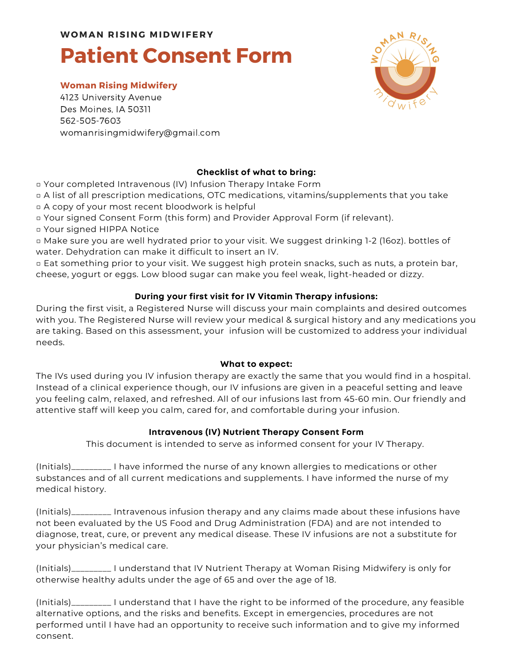# **Patient Consent Form**

### **Woman Rising Midwifery**

4123 University Avenue Des Moines, IA 50311 562-505-7603 womanrisingmidwifery@gmail.com



## **Checklist of what to bring:**

□ Your completed Intravenous (IV) Infusion Therapy Intake Form

□ A list of all prescription medications, OTC medications, vitamins/supplements that you take □ A copy of your most recent bloodwork is helpful

□ Your signed Consent Form (this form) and Provider Approval Form (if relevant).

□ Your signed HIPPA Notice

□ Make sure you are well hydrated prior to your visit. We suggest drinking 1-2 (16oz). bottles of water. Dehydration can make it difficult to insert an IV.

□ Eat something prior to your visit. We suggest high protein snacks, such as nuts, a protein bar, cheese, yogurt or eggs. Low blood sugar can make you feel weak, light-headed or dizzy.

### **During your first visit for IV Vitamin Therapy infusions:**

During the first visit, a Registered Nurse will discuss your main complaints and desired outcomes with you. The Registered Nurse will review your medical & surgical history and any medications you are taking. Based on this assessment, your infusion will be customized to address your individual needs.

#### **What to expect:**

The IVs used during you IV infusion therapy are exactly the same that you would find in a hospital. Instead of a clinical experience though, our IV infusions are given in a peaceful setting and leave you feeling calm, relaxed, and refreshed. All of our infusions last from 45-60 min. Our friendly and attentive staff will keep you calm, cared for, and comfortable during your infusion.

#### **Intravenous (IV) Nutrient Therapy Consent Form**

This document is intended to serve as informed consent for your IV Therapy.

(Initials)\_\_\_\_\_\_\_\_\_ I have informed the nurse of any known allergies to medications or other substances and of all current medications and supplements. I have informed the nurse of my medical history.

(Initials)\_\_\_\_\_\_\_\_\_ Intravenous infusion therapy and any claims made about these infusions have not been evaluated by the US Food and Drug Administration (FDA) and are not intended to diagnose, treat, cure, or prevent any medical disease. These IV infusions are not a substitute for your physician's medical care.

(Initials)\_\_\_\_\_\_\_\_\_ I understand that IV Nutrient Therapy at Woman Rising Midwifery is only for otherwise healthy adults under the age of 65 and over the age of 18.

(Initials)\_\_\_\_\_\_\_\_\_ I understand that I have the right to be informed of the procedure, any feasible alternative options, and the risks and benefits. Except in emergencies, procedures are not performed until I have had an opportunity to receive such information and to give my informed consent.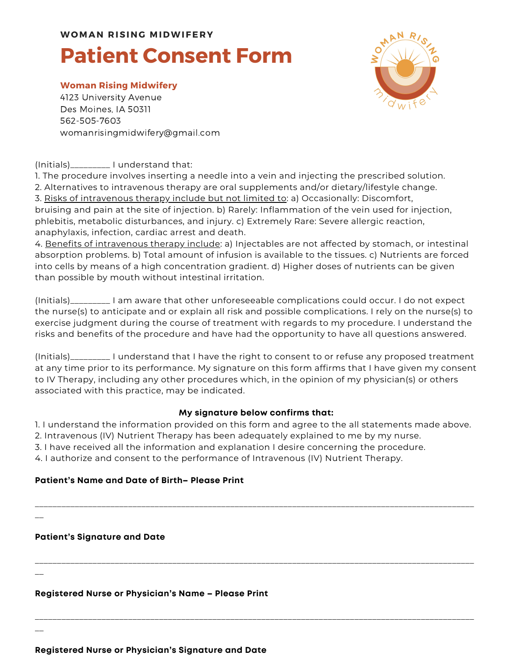# **Patient Consent Form**

#### **Woman Rising Midwifery**

4123 University Avenue Des Moines, IA 50311 562-505-7603 womanrisingmidwifery@gmail.com

### (Initials)\_\_\_\_\_\_\_\_\_ I understand that:

1. The procedure involves inserting a needle into a vein and injecting the prescribed solution.

2. Alternatives to intravenous therapy are oral supplements and/or dietary/lifestyle change.

3. Risks of intravenous therapy include but not limited to: a) Occasionally: Discomfort, bruising and pain at the site of injection. b) Rarely: Inflammation of the vein used for injection, phlebitis, metabolic disturbances, and injury. c) Extremely Rare: Severe allergic reaction, anaphylaxis, infection, cardiac arrest and death.

4. Benefits of intravenous therapy include: a) Injectables are not affected by stomach, or intestinal absorption problems. b) Total amount of infusion is available to the tissues. c) Nutrients are forced into cells by means of a high concentration gradient. d) Higher doses of nutrients can be given than possible by mouth without intestinal irritation.

(Initials)\_\_\_\_\_\_\_\_\_ I am aware that other unforeseeable complications could occur. I do not expect the nurse(s) to anticipate and or explain all risk and possible complications. I rely on the nurse(s) to exercise judgment during the course of treatment with regards to my procedure. I understand the risks and benefits of the procedure and have had the opportunity to have all questions answered.

(Initials)\_\_\_\_\_\_\_\_\_ I understand that I have the right to consent to or refuse any proposed treatment at any time prior to its performance. My signature on this form affirms that I have given my consent to IV Therapy, including any other procedures which, in the opinion of my physician(s) or others associated with this practice, may be indicated.

### **My signature below confirms that:**

1. I understand the information provided on this form and agree to the all statements made above.

\_\_\_\_\_\_\_\_\_\_\_\_\_\_\_\_\_\_\_\_\_\_\_\_\_\_\_\_\_\_\_\_\_\_\_\_\_\_\_\_\_\_\_\_\_\_\_\_\_\_\_\_\_\_\_\_\_\_\_\_\_\_\_\_\_\_\_\_\_\_\_\_\_\_\_\_\_\_\_\_\_\_\_\_\_\_\_\_\_\_\_\_\_\_\_\_\_\_\_

\_\_\_\_\_\_\_\_\_\_\_\_\_\_\_\_\_\_\_\_\_\_\_\_\_\_\_\_\_\_\_\_\_\_\_\_\_\_\_\_\_\_\_\_\_\_\_\_\_\_\_\_\_\_\_\_\_\_\_\_\_\_\_\_\_\_\_\_\_\_\_\_\_\_\_\_\_\_\_\_\_\_\_\_\_\_\_\_\_\_\_\_\_\_\_\_\_\_\_

\_\_\_\_\_\_\_\_\_\_\_\_\_\_\_\_\_\_\_\_\_\_\_\_\_\_\_\_\_\_\_\_\_\_\_\_\_\_\_\_\_\_\_\_\_\_\_\_\_\_\_\_\_\_\_\_\_\_\_\_\_\_\_\_\_\_\_\_\_\_\_\_\_\_\_\_\_\_\_\_\_\_\_\_\_\_\_\_\_\_\_\_\_\_\_\_\_\_\_

2. Intravenous (IV) Nutrient Therapy has been adequately explained to me by my nurse.

3. I have received all the information and explanation I desire concerning the procedure.

4. I authorize and consent to the performance of Intravenous (IV) Nutrient Therapy.

### **Patient's Name and Date of Birth– Please Print**

**Patient's Signature and Date**

 $\overline{\phantom{a}}$ 

 $\overline{\phantom{a}}$ 

 $\overline{\phantom{a}}$ 

**Registered Nurse or Physician's Name – Please Print**

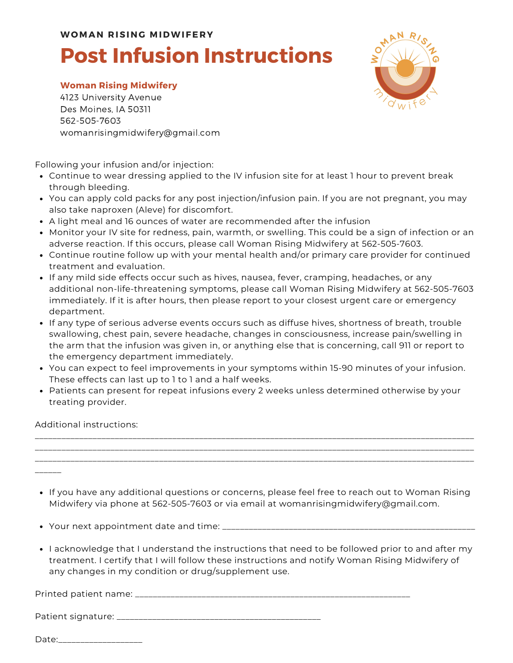# **Post Infusion Instructions**

#### **Woman Rising Midwifery**

4123 University Avenue Des Moines, IA 50311 562-505-7603 womanrisingmidwifery@gmail.com

Following your infusion and/or injection:

- Continue to wear dressing applied to the IV infusion site for at least 1 hour to prevent break through bleeding.
- You can apply cold packs for any post injection/infusion pain. If you are not pregnant, you may also take naproxen (Aleve) for discomfort.
- A light meal and 16 ounces of water are recommended after the infusion
- Monitor your IV site for redness, pain, warmth, or swelling. This could be a sign of infection or an adverse reaction. If this occurs, please call Woman Rising Midwifery at 562-505-7603.
- Continue routine follow up with your mental health and/or primary care provider for continued treatment and evaluation.
- If any mild side effects occur such as hives, nausea, fever, cramping, headaches, or any additional non-life-threatening symptoms, please call Woman Rising Midwifery at 562-505-7603 immediately. If it is after hours, then please report to your closest urgent care or emergency department.
- If any type of serious adverse events occurs such as diffuse hives, shortness of breath, trouble swallowing, chest pain, severe headache, changes in consciousness, increase pain/swelling in the arm that the infusion was given in, or anything else that is concerning, call 911 or report to the emergency department immediately.
- You can expect to feel improvements in your symptoms within 15-90 minutes of your infusion. These effects can last up to 1 to 1 and a half weeks.
- Patients can present for repeat infusions every 2 weeks unless determined otherwise by your treating provider.

Additional instructions:

- If you have any additional questions or concerns, please feel free to reach out to Woman Rising Midwifery via phone at 562-505-7603 or via email at womanrisingmidwifery@gmail.com.
- Your next appointment date and time: \_\_\_\_\_
- I acknowledge that I understand the instructions that need to be followed prior to and after my treatment. I certify that I will follow these instructions and notify Woman Rising Midwifery of any changes in my condition or drug/supplement use.

Printed patient name: \_\_\_\_\_\_\_\_\_\_\_\_\_\_\_\_\_\_\_\_\_\_\_\_\_\_\_\_\_\_\_\_\_\_\_\_\_\_\_\_\_\_\_\_\_\_\_\_\_\_\_\_\_\_\_\_\_\_\_\_\_\_

Patient signature: \_\_\_\_\_\_\_\_\_\_\_\_\_\_\_\_\_\_\_\_\_\_\_\_\_\_\_\_\_\_\_\_\_\_\_\_\_\_\_\_\_\_\_\_\_\_

Date:

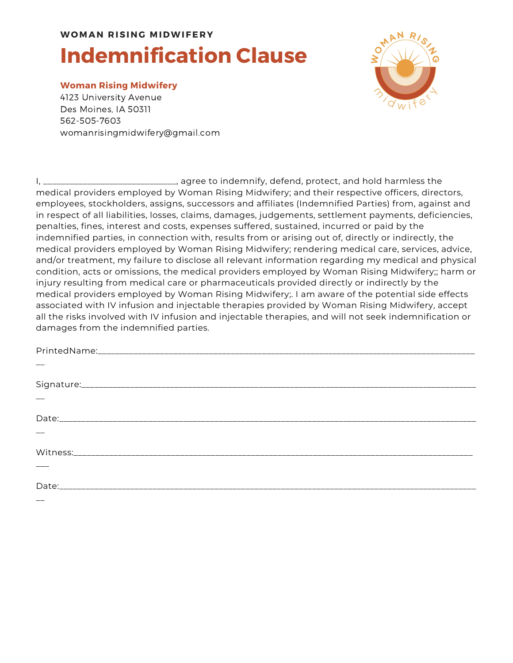# **Indemnification Clause**

#### **Woman Rising Midwifery**

4123 University Avenue Des Moines, IA 50311 562-505-7603 womanrisingmidwifery@gmail.com



I, \_\_\_\_\_\_\_\_\_\_\_\_\_\_\_\_\_\_\_\_\_\_\_\_\_\_\_\_\_\_, agree to indemnify, defend, protect, and hold harmless the medical providers employed by Woman Rising Midwifery; and their respective officers, directors, employees, stockholders, assigns, successors and affiliates (Indemnified Parties) from, against and in respect of all liabilities, losses, claims, damages, judgements, settlement payments, deficiencies, penalties, fines, interest and costs, expenses suffered, sustained, incurred or paid by the indemnified parties, in connection with, results from or arising out of, directly or indirectly, the medical providers employed by Woman Rising Midwifery; rendering medical care, services, advice, and/or treatment, my failure to disclose all relevant information regarding my medical and physical condition, acts or omissions, the medical providers employed by Woman Rising Midwifery;; harm or injury resulting from medical care or pharmaceuticals provided directly or indirectly by the medical providers employed by Woman Rising Midwifery;. I am aware of the potential side effects associated with IV infusion and injectable therapies provided by Woman Rising Midwifery, accept all the risks involved with IV infusion and injectable therapies, and will not seek indemnification or damages from the indemnified parties.

| $\frac{1}{1}$ |  |  |
|---------------|--|--|
|               |  |  |
|               |  |  |
|               |  |  |
|               |  |  |